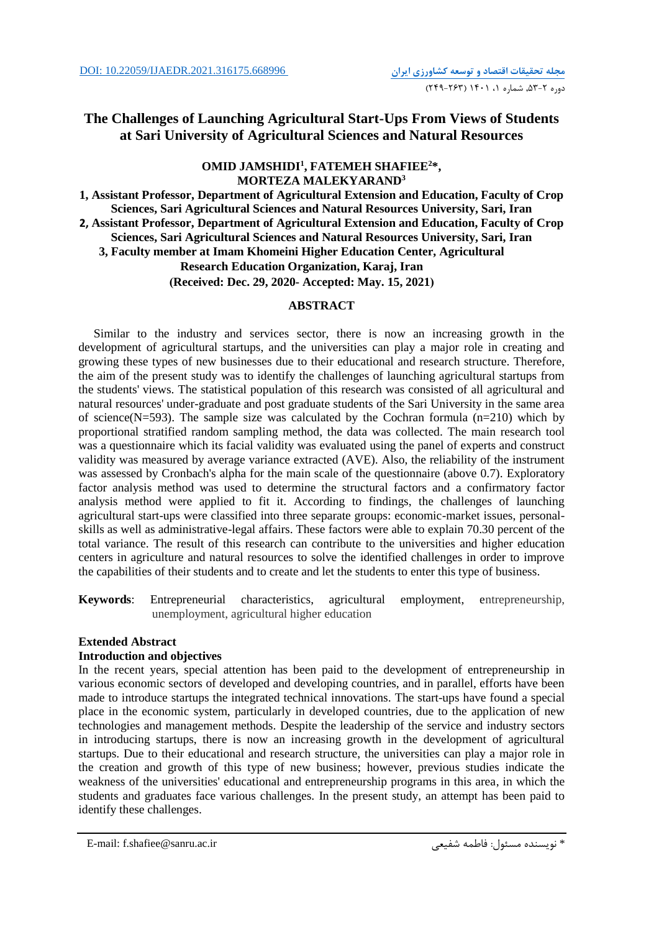# **The Challenges of Launching Agricultural Start-Ups From Views of Students at Sari University of Agricultural Sciences and Natural Resources**

## **OMID JAMSHIDI<sup>1</sup> , FATEMEH SHAFIEE<sup>2</sup>\*, MORTEZA MALEKYARAND<sup>3</sup>**

**1, Assistant Professor, Department of Agricultural Extension and Education, Faculty of Crop Sciences, Sari Agricultural Sciences and Natural Resources University, Sari, Iran 2, Assistant Professor, Department of Agricultural Extension and Education, Faculty of Crop Sciences, Sari Agricultural Sciences and Natural Resources University, Sari, Iran 3, Faculty member at Imam Khomeini Higher Education Center, Agricultural Research Education Organization, Karaj, Iran (Received: Dec. 29, 2020- Accepted: May. 15, 2021)** 

## **ABSTRACT**

 Similar to the industry and services sector, there is now an increasing growth in the development of agricultural startups, and the universities can play a major role in creating and growing these types of new businesses due to their educational and research structure. Therefore, the aim of the present study was to identify the challenges of launching agricultural startups from the students' views. The statistical population of this research was consisted of all agricultural and natural resources' under-graduate and post graduate students of the Sari University in the same area of science(N=593). The sample size was calculated by the Cochran formula  $(n=210)$  which by proportional stratified random sampling method, the data was collected. The main research tool was a questionnaire which its facial validity was evaluated using the panel of experts and construct validity was measured by average variance extracted (AVE). Also, the reliability of the instrument was assessed by Cronbach's alpha for the main scale of the questionnaire (above 0.7). Exploratory factor analysis method was used to determine the structural factors and a confirmatory factor analysis method were applied to fit it. According to findings, the challenges of launching agricultural start-ups were classified into three separate groups: economic-market issues, personalskills as well as administrative-legal affairs. These factors were able to explain 70.30 percent of the total variance. The result of this research can contribute to the universities and higher education centers in agriculture and natural resources to solve the identified challenges in order to improve the capabilities of their students and to create and let the students to enter this type of business.

**Keywords**: Entrepreneurial characteristics, agricultural employment, entrepreneurship, unemployment, agricultural higher education

## **Extended Abstract**

## **Introduction and objectives**

In the recent years, special attention has been paid to the development of entrepreneurship in various economic sectors of developed and developing countries, and in parallel, efforts have been made to introduce startups the integrated technical innovations. The start-ups have found a special place in the economic system, particularly in developed countries, due to the application of new technologies and management methods. Despite the leadership of the service and industry sectors in introducing startups, there is now an increasing growth in the development of agricultural startups. Due to their educational and research structure, the universities can play a major role in the creation and growth of this type of new business; however, previous studies indicate the weakness of the universities' educational and entrepreneurship programs in this area, in which the students and graduates face various challenges. In the present study, an attempt has been paid to identify these challenges.

\* نويسنده مسئول: فاطمه شفيعی فاطمه الله عليه الله عن الله عن الله عن الله عن الله عن الله عن الله عن الله عن ا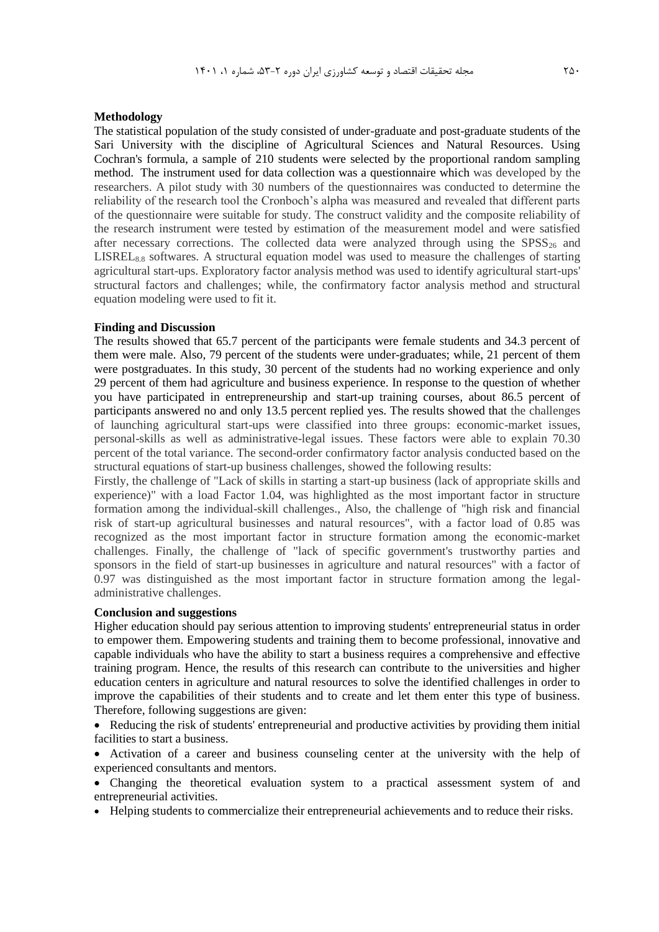#### **Methodology**

The statistical population of the study consisted of under-graduate and post-graduate students of the Sari University with the discipline of Agricultural Sciences and Natural Resources. Using Cochran's formula, a sample of 210 students were selected by the proportional random sampling method. The instrument used for data collection was a questionnaire which was developed by the researchers. A pilot study with 30 numbers of the questionnaires was conducted to determine the reliability of the research tool the Cronboch's alpha was measured and revealed that different parts of the questionnaire were suitable for study. The construct validity and the composite reliability of the research instrument were tested by estimation of the measurement model and were satisfied after necessary corrections. The collected data were analyzed through using the  $SPSS_{26}$  and  $LISTEL_{8.8}$  softwares. A structural equation model was used to measure the challenges of starting agricultural start-ups. Exploratory factor analysis method was used to identify agricultural start-ups' structural factors and challenges; while, the confirmatory factor analysis method and structural equation modeling were used to fit it.

#### **Finding and Discussion**

The results showed that 65.7 percent of the participants were female students and 34.3 percent of them were male. Also, 79 percent of the students were under-graduates; while, 21 percent of them were postgraduates. In this study, 30 percent of the students had no working experience and only 29 percent of them had agriculture and business experience. In response to the question of whether you have participated in entrepreneurship and start-up training courses, about 86.5 percent of participants answered no and only 13.5 percent replied yes. The results showed that the challenges of launching agricultural start-ups were classified into three groups: economic-market issues, personal-skills as well as administrative-legal issues. These factors were able to explain 70.30 percent of the total variance. The second-order confirmatory factor analysis conducted based on the structural equations of start-up business challenges, showed the following results:

Firstly, the challenge of "Lack of skills in starting a start-up business (lack of appropriate skills and experience)" with a load Factor 1.04, was highlighted as the most important factor in structure formation among the individual-skill challenges., Also, the challenge of "high risk and financial risk of start-up agricultural businesses and natural resources", with a factor load of 0.85 was recognized as the most important factor in structure formation among the economic-market challenges. Finally, the challenge of "lack of specific government's trustworthy parties and sponsors in the field of start-up businesses in agriculture and natural resources" with a factor of 0.97 was distinguished as the most important factor in structure formation among the legaladministrative challenges.

### **Conclusion and suggestions**

Higher education should pay serious attention to improving students' entrepreneurial status in order to empower them. Empowering students and training them to become professional, innovative and capable individuals who have the ability to start a business requires a comprehensive and effective training program. Hence, the results of this research can contribute to the universities and higher education centers in agriculture and natural resources to solve the identified challenges in order to improve the capabilities of their students and to create and let them enter this type of business. Therefore, following suggestions are given:

• Reducing the risk of students' entrepreneurial and productive activities by providing them initial facilities to start a business.

 Activation of a career and business counseling center at the university with the help of experienced consultants and mentors.

 Changing the theoretical evaluation system to a practical assessment system of and entrepreneurial activities.

• Helping students to commercialize their entrepreneurial achievements and to reduce their risks.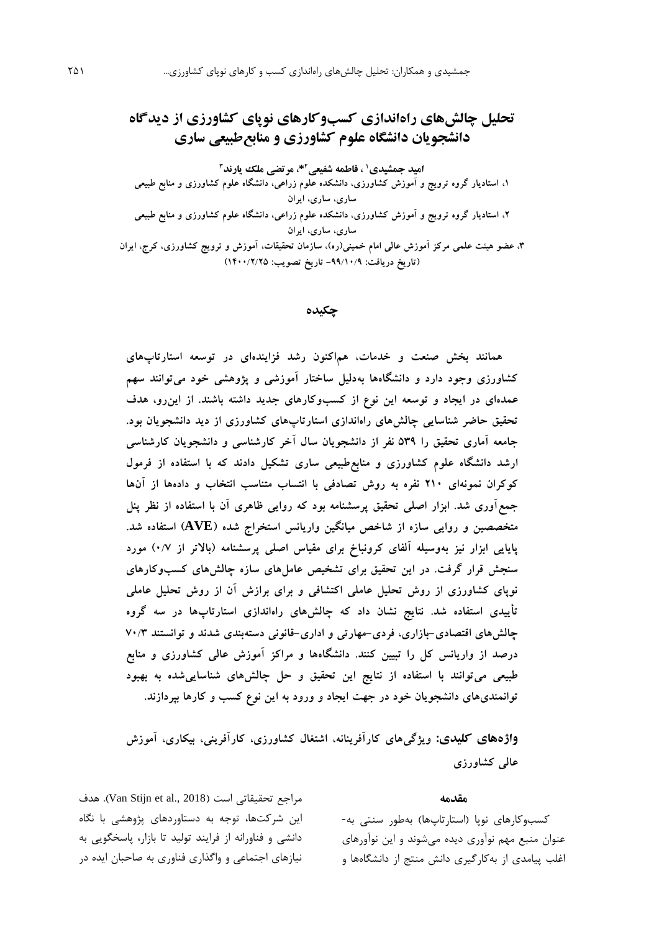# **تحلیل چالشهای راهاندازی کسبوکارهای نوپای کشاورزی از دیدگاه دانشجویان دانشگاه علوم کشاورزی و منابعطبیعی ساری**

امید جمشیدی' ، فاطمه شفیعی<sup>2\*،</sup> مرتضی ملک یارند<sup>۳</sup>

**،1 استادیار گروه ترویج و آموزش کشاورزی، دانشکده علوم زراعی، دانشگاه علوم کشاورزی و منابع طبیعی ساری، ساری، ایران ،2 استادیار گروه ترویج و آموزش کشاورزی، دانشکده علوم زراعی، دانشگاه علوم کشاورزی و منابع طبیعی ساری، ساری، ایران ،3 عضو هیئت علمی مرکز آموزش عالی امام خمینی)ره(، سازمان تحقیقات، آموزش و ترویج کشاورزی، کرج، ایران )تاریخ دریافت: -99/10/9 تاریخ تصویب: 1400/2/25(**

**چکیده**

**همانند بخش صنعت و خدمات، هماکنون رشد فزایندهای در توسعه استارتاپهای کشاورزی وجود دارد و دانشگاهها بهدلیل ساختار آموزشی و پژوهشی خود میتوانند سهم عمدهای در ایجاد و توسعه این نوع از کسبوکارهای جدید داشته باشند. از اینرو، هدف تحقیق حاضر شناسایی چالشهای راهاندازی استارتاپهای کشاورزی از دید دانشجویان بود. جامعه آماری تحقیق را 539 نفر از دانشجویان سال آخر کارشناسی و دانشجویان کارشناسی ارشد دانشگاه علوم کشاورزی و منابعطبیعی ساری تشکیل دادند که با استفاده از فرمول کوکران نمونهای 210 نفره به روش تصادفی با انتساب متناسب انتخاب و دادهها از آنها جمعآوری شد. ابزار اصلی تحقیق پرسشنامه بود که روایی ظاهری آن با استفاده از نظر پنل متخصصین و روایی سازه از شاخص میانگین واریانس استخراج شده )AVE )استفاده شد. پایایی ابزار نیز بهوسیله آلفای کرونباخ برای مقیاس اصلی پرسشنامه )باالتر از 0/7( مورد سنجش قرار گرفت. در این تحقیق برای تشخیص عاملهای سازه چالشهای کسبوکارهای نوپای کشاورزی از روش تحلیل عاملی اکتشافی و برای برازش آن از روش تحلیل عاملی تأییدی استفاده شد. نتایج نشان داد که چالشهای راهاندازی استارتاپها در سه گروه چالشهای اقتصادی-بازاری، فردی-مهارتی و اداری-قانونی دستهبندی شدند و توانستند 70/3 درصد از واریانس کل را تبیین کنند. دانشگاهها و مراکز آموزش عالی کشاورزی و منابع طبیعی میتوانند با استفاده از نتایج این تحقیق و حل چالشهای شناساییشده به بهبود توانمندیهای دانشجویان خود در جهت ایجاد و ورود به این نوع کسب و کارها بپردازند.** 

**واژههای کلیدی: ویژگیهای کارآفرینانه، اشتغال کشاورزی، کارآفرینی، بیکاری، آموزش عالی کشاورزی**

#### **مقدمه**

کسبوکارهاي نوپا )استارتاپها( بهطور سنتی به- عنوان منبع مهم نوآوري ديده میشوند و اين نوآورهاي اغلب پیامدي از بهکارگیري دانش منتج از دانشگاهها و

مراجع تحقیقاتی است (Van Stijn et al., 2018). هدف اين شرکتها، توجه به دستاوردهاي پژوهشی با نگاه دانشی و فناورانه از فرايند تولید تا بازار، پاسخگويی به نیازهاي اجتماعی و واگذاري فناوري به صاحبان ايده در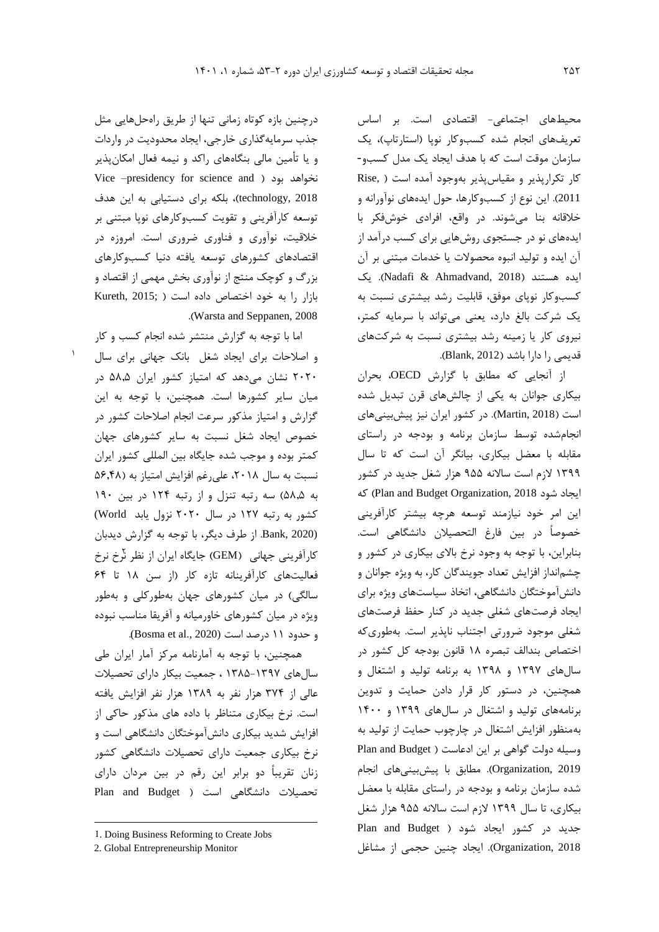محیطهاي اجتماعی- اقتصادي است. بر اساس تعريفهاي انجام شده کسبوکار نوپا (استارتاپ)، يک سازمان موقت است که با هدف ايجاد يک مدل کسبو- کار تکرارپذير و مقياس پذير بهوجود آمده است ( ,Rise 2011(. اين نوع از کسبوکارها، حول ايدههاي نوآورانه و خالقانه بنا میشوند. در واقع، افرادي خوشفکر با ايدههاي نو در جستجوي روشهايی براي کسب درآمد از آن ايده و تولید انبوه محصوالت يا خدمات مبتنی بر آن ايده هستند )2018 ,Ahmadvand & Nadafi). يک کسبوکار نوپاي موفق، قابلیت رشد بیشتري نسبت به يک شرکت بالغ دارد، يعنی میتواند با سرمايه کمتر، نیروي کار يا زمینه رشد بیشتري نسبت به شرکتهاي قديمی را دارا باشد )2012 ,Blank).

از آنجايی که مطابق با گزارش OECD، بحران بیکاري جوانان به يکی از چالشهاي قرن تبديل شده است )2018 ,Martin). در کشور ايران نیز پیشبینیهاي انجامشده توسط سازمان برنامه و بودجه در راستاي مقابله با معضل بیکاري، بیانگر آن است که تا سال 1399 الزم است ساالنه 955 هزار شغل جديد در کشور که( Plan and Budget Organization, 2018 شود ايجاد اين امر خود نیازمند توسعه هرچه بیشتر کارآفرينی خصوصاً در بین فارغ التحصیالن دانشگاهی است. بنابراين، با توجه به وجود نرخ باالي بیکاري در کشور و چشمانداز افزايش تعداد جويندگان کار، به ويژه جوانان و دانشآموختگان دانشگاهی، اتخاذ سیاستهاي ويژه براي ايجاد فرصتهاي شغلی جديد در کنار حفظ فرصتهاي شغلی موجود ضرورتی اجتناب ناپذير است. بهطوريکه اختصاص بندالف تبصره 18 قانون بودجه کل کشور در سالهاي 1397 و 1398 به برنامه تولید و اشتغال و همچنین، در دستور کار قرار دادن حمايت و تدوين برنامههاي تولید و اشتغال در سالهاي 1399 و 1400 بهمنظور افزايش اشتغال در چارچوب حمايت از تولید به وسیله دولت گواهی بر اين ادعاست ) Budget and Plan 2019 ,Organization). مطابق با پیشبینیهاي انجام شده سازمان برنامه و بودجه در راستاي مقابله با معضل بیکاري، تا سال 1399 الزم است ساالنه 955 هزار شغل جديد در کشور ايجاد شود ) Budget and Plan 2018 ,Organization). ايجاد چنین حجمی از مشاغل

درچنین بازه کوتاه زمانی تنها از طريق راهحلهايی مثل جذب سرمايهگذاري خارجی، ايجاد محدوديت در واردات و يا تأمین مالی بنگاههاي راکد و نیمه فعال امکانپذير Vice –presidency for science and ( بود نخواهد 2018 ,technology)، بلکه براي دستیابی به اين هدف توسعه کارآفرينی و تقويت کسبوکارهاي نوپا مبتنی بر خالقیت، نوآوري و فناوري ضروري است. امروزه در اقتصادهاي کشورهاي توسعه يافته دنیا کسبوکارهاي بزرگ و کوچک منتج از نوآوري بخش مهمی از اقتصاد و  $Kureth, 2015;$  ) بازار را به خود اختصاص داده است .)Warsta and Seppanen, 2008

اما با توجه به گزارش منتشر شده انجام کسب و کار و اصالحات براي ايجاد شغل بانک جهانی براي سال 2020 نشان میدهد که امتیاز کشور ايران 58,5 در میان ساير کشورها است. همچنین، با توجه به اين گزارش و امتیاز مذکور سرعت انجام اصالحات کشور در خصوص ايجاد شغل نسبت به ساير کشورهاي جهان کمتر بوده و موجب شده جايگاه بین المللی کشور ايران نسبت به سال ٢٠١٨، علی رغم افزايش امتياز به (٥۶٫۴٨ به 58,5( سه رتبه تنزل و از رتبه 124 در بین 190 کشور به رتبه 127 در سال 2020 نزول يابد World( (2020 ,Bank. از طرف ديگر، با توجه به گزارش ديدبان 2 کارآفرينی جهانی )GEM )جايگاه ايران از نظر نرخ نرخ فعالیتهاي کارآفرينانه تازه کار )از سن 18 تا 64 سالگی) در میان کشورهای جهان بهطورکلی و بهطور ويژه در میان کشورهاي خاورمیانه و آفريقا مناسب نبوده و حدود 11 درصد است (Bosma et al., 2020).

1

همچنین، با توجه به آمارنامه مرکز آمار ايران طی سالهاي 1385-1397 ، جمعیت بیکار داراي تحصیالت عالی از 374 هزار نفر به 1389 هزار نفر افزايش يافته است. نرخ بیکاري متناظر با داده هاي مذکور حاکی از افزايش شديد بیکاري دانشآموختگان دانشگاهی است و نرخ بیکاري جمعیت داراي تحصیالت دانشگاهی کشور زنان تقريباً دو برابر اين رقم در بین مردان داراي تحصیلات دانشگاهی است ( Plan and Budget

 $\overline{a}$ 

<sup>1</sup>. Doing Business Reforming to Create Jobs

<sup>2.</sup> Global Entrepreneurship Monitor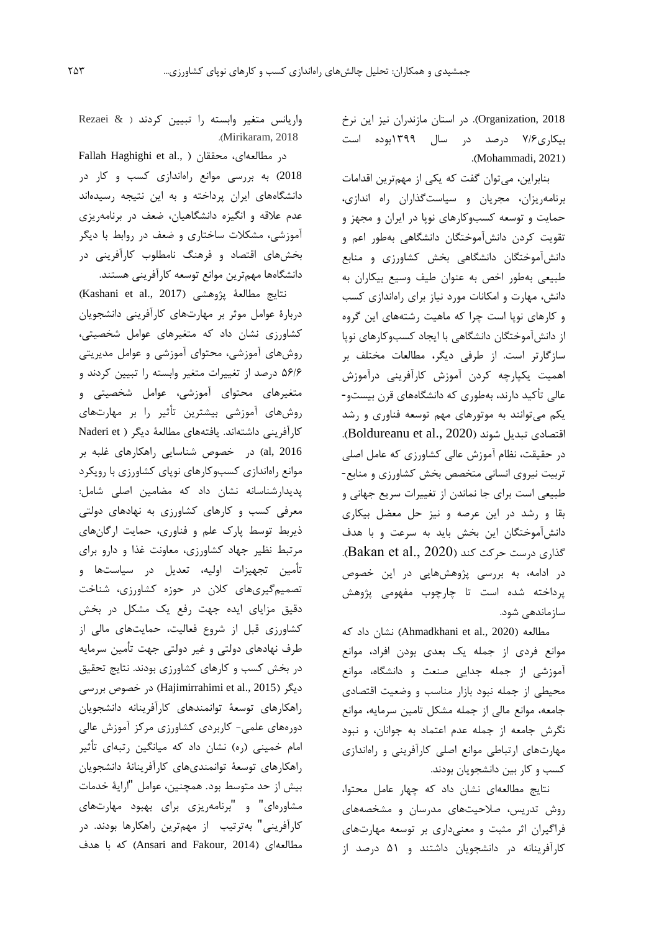2018 ,Organization). در استان مازندران نیز اين نرخ بیکاري7/6 درصد در سال 1399بوده است .(Mohammadi, 2021)

بنابراين، میتوان گفت که يکی از مهمترين اقدامات برنامهريزان، مجريان و سیاستگذاران راه اندازي، حمايت و توسعه کسبوکارهاي نوپا در ايران و مجهز و تقويت کردن دانشآموختگان دانشگاهی بهطور اعم و دانشآموختگان دانشگاهی بخش کشاورزي و منابع طبیعی بهطور اخص به عنوان طیف وسیع بیکاران به دانش، مهارت و امکانات مورد نیاز براي راهاندازي کسب و کارهاي نوپا است چرا که ماهیت رشتههاي اين گروه از دانشآموختگان دانشگاهی با ايجاد کسبوکارهاي نوپا سازگارتر است. از طرفی ديگر، مطالعات مختلف بر اهمیت يکپارچه کردن آموزش کارآفرينی درآموزش عالی تأکید دارند، بهطوري که دانشگاههاي قرن بیستو- يکم میتوانند به موتورهاي مهم توسعه فناوري و رشد اقتصادي تبديل شوند (Boldureanu et al., 2020). در حقیقت، نظام آموزش عالی کشاورزي که عامل اصلی تربیت نیروي انسانی متخصص بخش کشاورزي و منابع- طبیعی است براي جا نماندن از تغییرات سريع جهانی و بقا و رشد در اين عرصه و نیز حل معضل بیکاري دانشآموختگان اين بخش بايد به سرعت و با هدف گذاري درست حرکت کند (Bakan et al., 2020). در ادامه، به بررسی پژوهشهايی در اين خصوص پرداخته شده است تا چارچوب مفهومی پژوهش سازماندهی شود.

مطالعه )2020 .,al et Ahmadkhani )نشان داد که موانع فردي از جمله يک بعدي بودن افراد، موانع آموزشی از جمله جدايی صنعت و دانشگاه، موانع محیطی از جمله نبود بازار مناسب و وضعیت اقتصادي جامعه، موانع مالی از جمله مشکل تامین سرمايه، موانع نگرش جامعه از جمله عدم اعتماد به جوانان، و نبود مهارتهاي ارتباطی موانع اصلی کارآفرينی و راهاندازي کسب و کار بین دانشجويان بودند.

نتايج مطالعهاي نشان داد که چهار عامل محتوا، روش تدريس، صالحیتهاي مدرسان و مشخصههاي فراگیران اثر مثبت و معنیداري بر توسعه مهارتهاي کارآفرينانه در دانشجويان داشتند و 51 درصد از

واريانس متغیر وابسته را تبیین کردند ) & Rezaei .)Mirikaram, 2018

Fallah Haghighi et al., ( محققان ،مطالعهاي در 2018( به بررسی موانع راهاندازي کسب و کار در دانشگاههاي ايران پرداخته و به اين نتیجه رسیدهاند عدم عالقه و انگیزه دانشگاهیان، ضعف در برنامهريزي آموزشی، مشکالت ساختاري و ضعف در روابط با ديگر بخشهاي اقتصاد و فرهنگ نامطلوب کارآفرينی در دانشگاهها مهمترين موانع توسعه کارآفرينی هستند.

نتايج مطالعهٔ پژوهشی (Kashani et al., 2017) دربارة عوامل موثر بر مهارتهاي کارآفرينی دانشجويان کشاورزي نشان داد که متغیرهاي عوامل شخصیتی، روشهاي آموزشی، محتواي آموزشی و عوامل مديريتی 56/6 درصد از تغییرات متغیر وابسته را تبیین کردند و متغیرهاي محتواي آموزشی، عوامل شخصیتی و روشهاي آموزشی بیشترين تأثیر را بر مهارتهاي كارآفريني داشتهاند. يافتههاي مطالعة ديگر ( Naderi et 2016 ,al )در خصوص شناسايی راهکارهاي غلبه بر موانع راهاندازي کسبوکارهاي نوپاي کشاورزي با رويکرد پديدارشناسانه نشان داد که مضامین اصلی شامل: معرفی کسب و کارهاي کشاورزي به نهادهاي دولتی ذيربط توسط پارک علم و فناوري، حمايت ارگانهاي مرتبط نظیر جهاد کشاورزي، معاونت غذا و دارو براي تأمین تجهیزات اولیه، تعديل در سیاستها و تصمیمگیريهاي کالن در حوزه کشاورزي، شناخت دقیق مزاياي ايده جهت رفع يک مشکل در بخش کشاورزي قبل از شروع فعالیت، حمايتهاي مالی از طرف نهادهاي دولتی و غیر دولتی جهت تأمین سرمايه در بخش کسب و کارهاي کشاورزي بودند. نتايج تحقیق ديگر )2015 .,al et Hajimirrahimi )در خصوص بررسی راهکارهاي توسعة توانمندهاي کارآفرينانه دانشجويان دورههاي علمی- کاربردي کشاورزي مرکز آموزش عالی امام خمینی (ره) نشان داد که میانگین رتبهای تأثیر راهکارهاي توسعة توانمنديهاي کارآفرينانة دانشجويان بیش از حد متوسط بود. همچنین، عوامل "اراية خدمات مشاورهاي" و "برنامهريزي براي بهبود مهارتهاي کارآفرينی" بهترتیب از مهمترين راهکارها بودند. در مطالعهاي )2014 ,Fakour and Ansari )که با هدف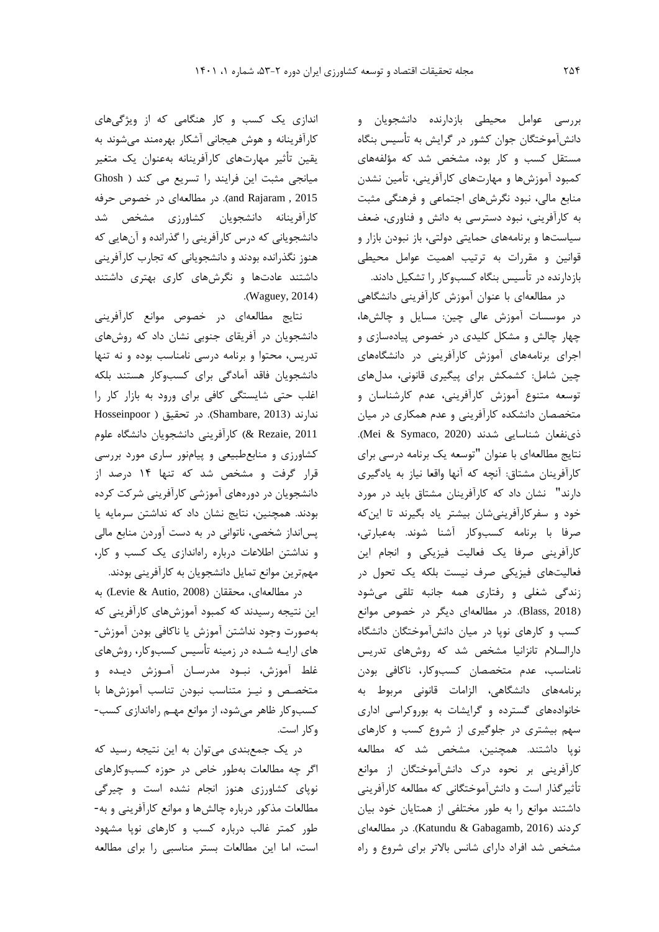بررسی عوامل محیطی بازدارنده دانشجويان و دانشآموختگان جوان کشور در گرايش به تأسیس بنگاه مستقل کسب و کار بود، مشخص شد که مؤلفههاي کمبود آموزشها و مهارتهاي کارآفرينی، تأمین نشدن منابع مالی، نبود نگرشهاي اجتماعی و فرهنگی مثبت به کارآفرينی، نبود دسترسی به دانش و فناوري، ضعف سیاستها و برنامههاي حمايتی دولتی، باز نبودن بازار و قوانین و مقررات به ترتیب اهمیت عوامل محیطی بازدارنده در تأسیس بنگاه کسبوکار را تشکیل دادند.

در مطالعهاي با عنوان آموزش کارآفرينی دانشگاهی در موسسات آموزش عالی چین: مسايل و چالشها، چهار چالش و مشکل کلیدي در خصوص پیادهسازي و اجراي برنامههاي آموزش کارآفرينی در دانشگاههاي چین شامل: کشمکش براي پیگیري قانونی، مدلهاي توسعه متنوع آموزش کارآفرينی، عدم کارشناسان و متخصصان دانشکده کارآفرينی و عدم همکاري در میان ذي نفعان شناسايی شدند (2020 ,Mei & Symaco). نتايج مطالعهاي با عنوان "توسعه يک برنامه درسی براي کارآفرينان مشتاق: آنچه که آنها واقعا نیاز به يادگیري دارند" نشان داد که کارآفرينان مشتاق بايد در مورد خود و سفرکارآفرينیشان بیشتر ياد بگیرند تا اينکه صرفا با برنامه کسبوکار آشنا شوند. بهعبارتی، کارآفرينی صرفا يک فعالیت فیزيکی و انجام اين فعالیتهاي فیزيکی صرف نیست بلکه يک تحول در زندگی شغلی و رفتاري همه جانبه تلقی میشود )2018 ,Blass). در مطالعهاي ديگر در خصوص موانع کسب و کارهاي نوپا در میان دانشآموختگان دانشگاه دارالسالم تانزانیا مشخص شد که روشهاي تدريس نامناسب، عدم متخصصان کسبوکار، ناکافی بودن برنامههاي دانشگاهی، الزامات قانونی مربوط به خانوادههاي گسترده و گرايشات به بوروکراسی اداري سهم بیشتري در جلوگیري از شروع کسب و کارهاي نوپا داشتند. همچنین، مشخص شد که مطالعه کارآفرينی بر نحوه درک دانشآموختگان از موانع تأثیرگذار است و دانشآموختگانی که مطالعه کارآفرينی داشتند موانع را به طور مختلفی از همتايان خود بیان کردند )2016 ,Gabagamb & Katundu). در مطالعهاي مشخص شد افراد داراي شانس باالتر براي شروع و راه

اندازي يک کسب و کار هنگامی که از ويژگیهاي کارآفرينانه و هوش هیجانی آشکار بهرهمند میشوند به يقین تأثیر مهارتهاي کارآفرينانه بهعنوان يک متغیر میانجی مثبت اين فرايند را تسريع می کند ) Ghosh 2015 , Rajaram and). در مطالعهاي در خصوص حرفه کارآفرينانه دانشجويان کشاورزي مشخص شد دانشجويانی که درس کارآفرينی را گذرانده و آنهايی که هنوز نگذرانده بودند و دانشجويانی که تجارب کارآفرينی داشتند عادتها و نگرشهاي کاري بهتري داشتند .(Waguey, 2014)

نتايج مطالعهاي در خصوص موانع کارآفرينی دانشجويان در آفريقاي جنوبی نشان داد که روشهاي تدريس، محتوا و برنامه درسی نامناسب بوده و نه تنها دانشجويان فاقد آمادگی براي کسبوکار هستند بلکه اغلب حتی شايستگی کافی براي ورود به بازار کار را ندارند )2013 ,Shambare). در تحقیق ) Hosseinpoor 2011 ,Rezaie )& کارآفرينی دانشجويان دانشگاه علوم کشاورزي و منابعطبیعی و پیامنور ساري مورد بررسی قرار گرفت و مشخص شد که تنها 14 درصد از دانشجويان در دورههاي آموزشی کارآفرينی شرکت کرده بودند. همچنین، نتايج نشان داد که نداشتن سرمايه يا پسانداز شخصی، ناتوانی در به دست آوردن منابع مالی و نداشتن اطالعات درباره راهاندازي يک کسب و کار، مهمترين موانع تمايل دانشجويان به کارآفرينی بودند.

در مطالعهاي، محققان )2008 ,Autio & Levie )به اين نتیجه رسیدند که کمبود آموزشهاي کارآفرينی که بهصورت وجود نداشتن آموزش يا ناکافی بودن آموزش- هاي ارايـه شـده در زمینه تأسیس کسبوکار، روشهاي غلط آموزش، نبـود مدرسـان آمـوزش ديـده و متخصـص و نیـز متناسب نبودن تناسب آموزشها با کسبوکار ظاهر میشود، از موانع مهـم راهاندازي کسب- وکار است.

در يک جمعبندي میتوان به اين نتیجه رسید که اگر چه مطالعات بهطور خاص در حوزه کسبوکارهاي نوپاي کشاورزي هنوز انجام نشده است و چیرگی مطالعات مذکور درباره چالشها و موانع کارآفرينی و به- طور کمتر غالب درباره کسب و کارهاي نوپا مشهود است، اما اين مطالعات بستر مناسبی را براي مطالعه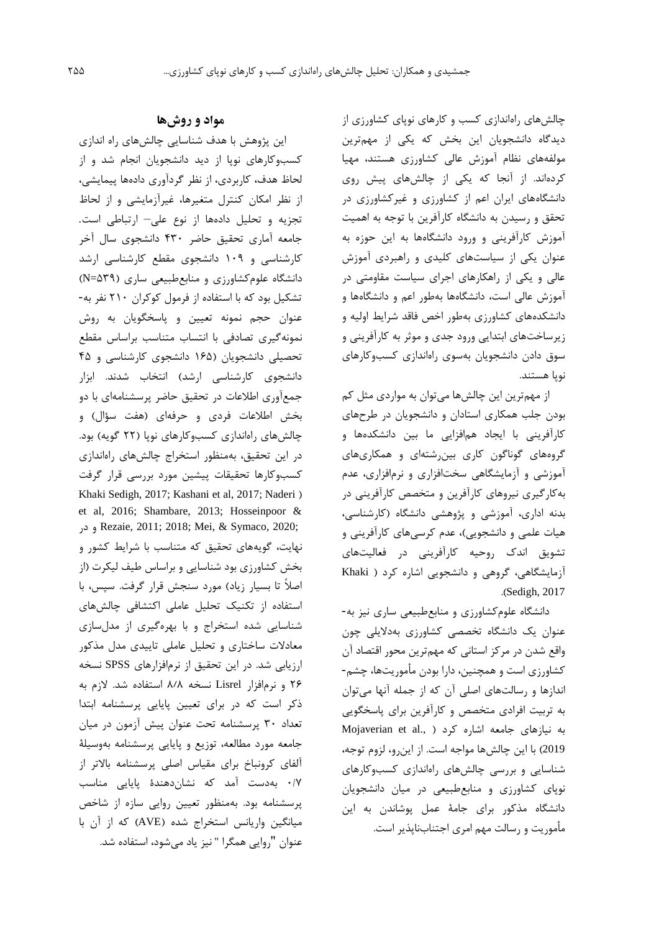چالشهاي راهاندازي کسب و کارهاي نوپاي کشاورزي از ديدگاه دانشجويان اين بخش که يکی از مهمترين مولفههاي نظام آموزش عالی کشاورزي هستند، مهیا کردهاند. از آنجا که يکی از چالشهاي پیش روي دانشگاههاي ايران اعم از کشاورزي و غیرکشاورزي در تحقق و رسیدن به دانشگاه کارآفرين با توجه به اهمیت آموزش کارآفرينی و ورود دانشگاهها به اين حوزه به عنوان يکی از سیاستهاي کلیدي و راهبردي آموزش عالی و يکی از راهکارهاي اجراي سیاست مقاومتی در آموزش عالی است، دانشگاهها بهطور اعم و دانشگاهها و دانشکدههاي کشاورزي بهطور اخص فاقد شرايط اولیه و زيرساختهاي ابتدايی ورود جدي و موثر به کارآفرينی و سوق دادن دانشجويان بهسوي راهاندازي کسبوکارهاي نوپا هستند.

از مهمترين اين چالشها میتوان به مواردي مثل کم بودن جلب همکاري استادان و دانشجويان در طرحهاي کارآفرينی با ايجاد همافزايی ما بین دانشکدهها و گروههاي گوناگون کاري بینرشتهاي و همکاريهاي آموزشی و آزمايشگاهی سختافزاري و نرمافزاري، عدم بهکارگیري نیروهاي کارآفرين و متخصص کارآفرينی در بدنه اداري، آموزشی و پژوهشی دانشگاه )کارشناسی، هیات علمی و دانشجويی(، عدم کرسیهاي کارآفرينی و تشويق اندک روحیه کارآفرينی در فعالیتهاي آزمايشگاهی، گروهی و دانشجويی اشاره کرد ) Khaki .(Sedigh, 2017

دانشگاه علومکشاورزي و منابعطبیعی ساري نیز به- عنوان يک دانشگاه تخصصی کشاورزي بهداليلی چون واقع شدن در مرکز استانی که مهمترين محور اقتصاد آن کشاورزي است و همچنین، دارا بودن مأموريتها، چشم- اندازها و رسالتهاي اصلی آن که از جمله آنها میتوان به تربیت افرادي متخصص و کارآفرين براي پاسخگويی به نیازهای جامعه اشاره کرد ( ,.Mojaverian et al 2019( با اين چالشها مواجه است. از اينرو، لزوم توجه، شناسايی و بررسی چالشهاي راهاندازي کسبوکارهاي نوپاي کشاورزي و منابعطبیعی در میان دانشجويان دانشگاه مذکور براي جامة عمل پوشاندن به اين مأموريت و رسالت مهم امري اجتنابناپذير است.

## **مواد و روشها**

اين پژوهش با هدف شناسايی چالشهاي راه اندازي کسبوکارهاي نوپا از ديد دانشجويان انجام شد و از لحاظ هدف، کاربردي، از نظر گردآوري دادهها پیمايشی، از نظر امکان کنترل متغیرها، غیرآزمايشی و از لحاظ تجزيه و تحلیل دادهها از نوع علی– ارتباطی است. جامعه آماري تحقیق حاضر 430 دانشجوي سال آخر کارشناسی و 109 دانشجوي مقطع کارشناسی ارشد دانشگاه علومکشاورزي و منابعطبیعی ساري )539=N ) تشکیل بود که با استفاده از فرمول کوکران 210 نفر به- عنوان حجم نمونه تعیین و پاسخگويان به روش نمونهگیري تصادفی با انتساب متناسب براساس مقطع تحصیلی دانشجويان )165 دانشجوي کارشناسی و 45 دانشجوي کارشناسی ارشد( انتخاب شدند. ابزار جمعآوري اطالعات در تحقیق حاضر پرسشنامهاي با دو بخش اطالعات فردي و حرفهاي )هفت سؤال( و چالشهاي راهاندازي کسبوکارهاي نوپا )22 گويه( بود. در اين تحقیق، بهمنظور استخراج چالشهاي راهاندازي کسبوکارها تحقیقات پیشین مورد بررسی قرار گرفت Khaki Sedigh, 2017; Kashani et al, 2017; Naderi ) et al, 2016; Shambare, 2013; Hosseinpoor & در و Rezaie, 2011; 2018; Mei, & Symaco, 2020; نهايت، گويههاي تحقیق که متناسب با شرايط کشور و بخش کشاورزي بود شناسايی و براساس طیف لیکرت )از اصلاً تا بسیار زیاد) مورد سنجش قرار گرفت. سپس، با استفاده از تکنیک تحلیل عاملی اکتشافی چالشهاي شناسايی شده استخراج و با بهرهگیري از مدلسازي معادالت ساختاري و تحلیل عاملی تايیدي مدل مذکور ارزيابی شد. در اين تحقیق از نرمافزارهاي SPSS نسخه 26 و نرمافزار Lisrel نسخه 8٫8 استفاده شد. الزم به ذکر است که در براي تعیین پايايی پرسشنامه ابتدا تعداد 30 پرسشنامه تحت عنوان پیش آزمون در میان جامعه مورد مطالعه، توزيع و پايايی پرسشنامه بهوسیلة آلفاي کرونباخ براي مقیاس اصلی پرسشنامه باالتر از 0/7 بهدست آمد که نشاندهندة پايايی مناسب پرسشنامه بود. بهمنظور تعیین روايی سازه از شاخص میانگین واريانس استخراج شده )AVE )که از آن با عنوان "روايی همگرا " نیز ياد میشود، استفاده شد.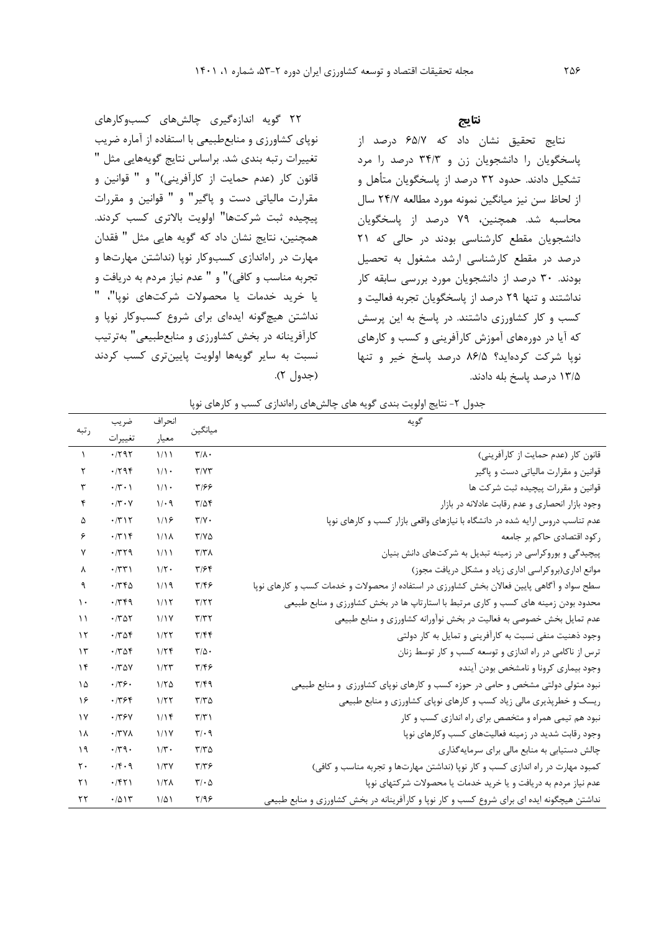**نتایج**

نتايج تحقیق نشان داد که 65/7 درصد از پاسخگويان را دانشجويان زن و 34/3 درصد را مرد تشکیل دادند. حدود 32 درصد از پاسخگويان متأهل و از لحاظ سن نیز میانگین نمونه مورد مطالعه 24/7 سال محاسبه شد. همچنین، 79 درصد از پاسخگويان دانشجويان مقطع کارشناسی بودند در حالی که 21 درصد در مقطع کارشناسی ارشد مشغول به تحصیل بودند. 30 درصد از دانشجويان مورد بررسی سابقه کار نداشتند و تنها 29 درصد از پاسخگويان تجربه فعالیت و کسب و کار کشاورزي داشتند. در پاسخ به اين پرسش که آيا در دورههاي آموزش کارآفرينی و کسب و کارهاي نوپا شرکت کردهايد؟ 86/5 درصد پاسخ خیر و تنها 13/5 درصد پاسخ بله دادند.

22 گويه اندازهگیري چالشهاي کسبوکارهاي نوپاي کشاورزي و منابعطبیعی با استفاده از آماره ضريب تغییرات رتبه بندي شد. براساس نتايج گويههايی مثل " قانون کار (عدم حمايت از کارآفرينی)" و " قوانين و مقرارت مالیاتی دست و پاگیر" و " قوانین و مقررات پیچیده ثبت شرکتها" اولويت باالتري کسب کردند. همچنین، نتايج نشان داد که گويه هايی مثل " فقدان مهارت در راهاندازي کسبوکار نوپا )نداشتن مهارتها و تجربه مناسب و کافی)" و " عدم نیاز مردم به دريافت و يا خريد خدمات يا محصوالت شرکتهاي نوپا"، " نداشتن هیچگونه ايدهاي براي شروع کسبوکار نوپا و کارآفرينانه در بخش کشاورزي و منابعطبیعی" بهترتیب نسبت به ساير گويهها اولويت پايینتري کسب کردند (جدول ٢).

جدول ٢- نتايج اولويت بندي گويه هاي چالشهاي راهاندازي كسب و كارهاي نوپا

| ر تبه                 | ضريب                 | انحراف           |                               | گويه                                                                                       |
|-----------------------|----------------------|------------------|-------------------------------|--------------------------------------------------------------------------------------------|
|                       | تغييرات              | معيار            | ميانگين                       |                                                                                            |
| $\lambda$             | .797                 | 1/11             | $\mathbf{r}/\mathbf{A}$ .     | قانون كار (عدم حمايت از كارآفريني)                                                         |
| ۲                     | .799                 | $1/\sqrt{2}$     | T/YY                          | قوانین و مقرارت مالیاتی دست و پاگیر                                                        |
| ٣                     | $\cdot$ /٣ $\cdot$ ) | $1/\sqrt{2}$     | 3317                          | قوانین و مقررات پیچیده ثبت شرکت ها                                                         |
| ۴                     | $\cdot$ /٣ $\cdot$ Y | 1/29             | $T/\Delta f$                  | وجود بازار انحصاري و عدم رقابت عادلانه در بازار                                            |
| ۵                     | .7717                | 1/19             | $\tau/\gamma$ .               | عدم تناسب دروس ارایه شده در دانشگاه با نیازهای واقعی بازار کسب و کارهای نوپا               |
| ۶                     | .779                 | 1/1 <sub>A</sub> | $Y/Y\Delta$                   | رکود اقتصادی حاکم بر جامعه                                                                 |
| ٧                     | .779                 | 1/11             | $\mathbf{r}/\mathbf{r}$       | پیچیدگی و بوروکراسی در زمینه تبدیل به شرکتهای دانش بنیان                                   |
| λ                     | $\cdot$ /٣٣)         | $1/\tau$ .       | T/56                          | موانع اداری(بروکراسی اداری زیاد و مشکل دریافت مجوز)                                        |
| ٩                     | .746                 | 1/19             | ۳۱۴۶                          | سطح سواد و آگاهی پایین فعالان بخش کشاورزی در استفاده از محصولات و خدمات کسب و کارهای نوپا  |
| $\mathcal{L}$         | .749                 | 1/17             | T/T                           | محدود بودن زمینه های کسب و کاری مرتبط با استارتاپ ها در بخش کشاورزی و منابع طبیعی          |
| $\lambda$             | .780                 | 1/1Y             | T/T                           | عدم تمایل بخش خصوصی به فعالیت در بخش نوآورانه کشاورزی و منابع طبیعی                        |
| $\gamma$              | .788                 | 1/57             | T/FF                          | وجود ذهنیت منفی نسبت به کارآفرینی و تمایل به کار دولتی                                     |
| $\gamma$              | .788                 | 1/5              | $\mathbf{r}/\mathbf{r}$ .     | ترس از ناکامی در راه اندازی و توسعه کسب و کار توسط زنان                                    |
| $\gamma$              | .780                 | 1/5              | ۳۱۴۶                          | وجود بيماري كرونا و نامشخص بودن آينده                                                      |
| ۱۵                    | .779.                | 1/50             | T/F9                          | نبود متولی دولتی مشخص و حامی در حوزه کسب و کارهای نوپای کشاورزی و منابع طبیعی              |
| ۱۶                    | .7799                | 1/57             | $T/T \Delta$                  | ریسک و خطرپذیری مالی زیاد کسب و کارهای نوپای کشاورزی و منابع طبیعی                         |
| $\gamma$              | .779Y                | 1/15             | $\tau/\tau$                   | نبود هم تیمی همراه و متخصص برای راه اندازی کسب و کار                                       |
| $\lambda$             | $\cdot$ /٣٧٨         | 1/1Y             | $\mathbf{r}/\cdot \mathbf{q}$ | وجود رقابت شدید در زمینه فعالیتهای کسب وکارهای نوپا                                        |
| 19                    | .77.                 | $1/\tau$ .       | $T/T \Delta$                  | چالش دستیابی به منابع مالی برای سرمایهگذاری                                                |
| $\mathsf{r}$ .        | .14.9                | 1/TY             | $\tau/\tau$ ۶                 | کمبود مهارت در راه اندازی کسب و کار نوپا (نداشتن مهارتها و تجربه مناسب و کافی)             |
| $\mathsf{r}\setminus$ | .751                 | 1/T <sub>A</sub> | $\mathbf{r}\cdot\mathbf{r}$   | عدم نیاز مردم به دریافت و یا خرید خدمات یا محصولات شر کتهای نویا                           |
| ٢٢                    | .7015                | $1/\Delta$       | Y/99                          | نداشتن هیچگونه ایده ای برای شروع کسب و کار نوپا و کارآفرینانه در بخش کشاورزی و منابع طبیعی |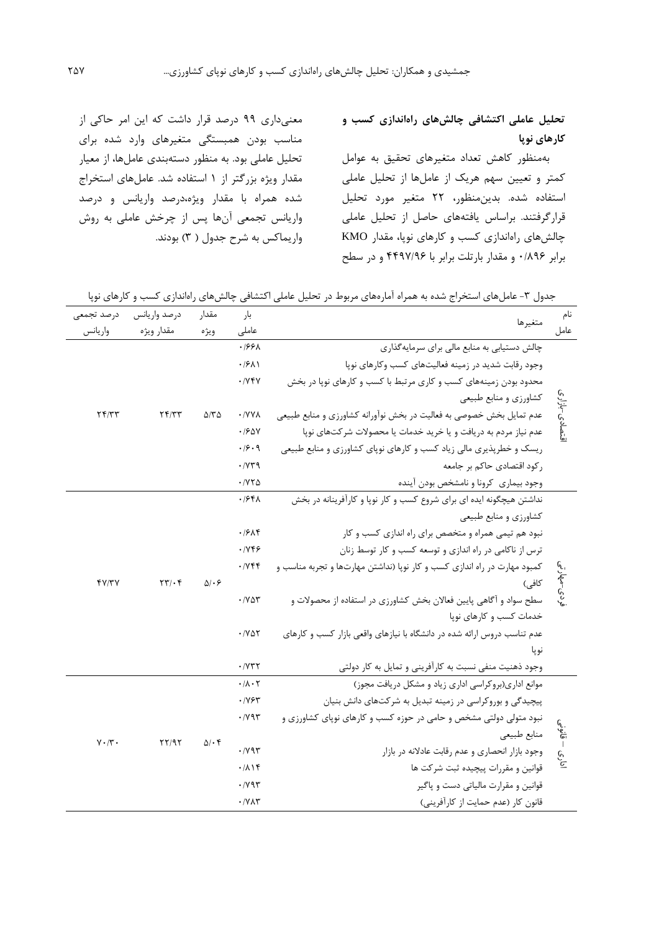# **تحليل عاملی اکتشافی چالشهاي راهاندازي کسب و کارهاي نوپا**

بهمنظور کاهش تعداد متغیرهاي تحقیق به عوامل کمتر و تعیین سهم هريک از عاملها از تحلیل عاملی استفاده شده. بدينمنظور، 22 متغیر مورد تحلیل قرارگرفتند. براساس يافتههاي حاصل از تحلیل عاملی چالشهاي راهاندازي کسب و کارهاي نوپا، مقدار KMO برابر 0/896 و مقدار بارتلت برابر با 4497/96 و در سطح

معنیداري 99 درصد قرار داشت که اين امر حاکی از مناسب بودن همبستگی متغیرهاي وارد شده براي تحلیل عاملی بود. به منظور دستهبندي عاملها، از معیار مقدار ويژه بزرگتر از 1 استفاده شد. عاملهاي استخراج شده همراه با مقدار ويژه،درصد واريانس و درصد واريانس تجمعی آنها پس از چرخش عاملی به روش واريماکس به شرح جدول ( ۳) بودند.

جدول ۳- عاملهای استخراج شده به همراه آمارههای مربوط در تحلیل عاملی اکتشافی چالشهای راهاندازی کسب و کارهای نوپا

| درصد تجمعى                | درصد واريانس                               | مقدار                 | بار                               | متغيرها                                                                  |               |             |       |  |
|---------------------------|--------------------------------------------|-----------------------|-----------------------------------|--------------------------------------------------------------------------|---------------|-------------|-------|--|
| واريانس                   | مقدار ويژه                                 | ويژه                  | عاملى                             |                                                                          |               |             |       |  |
|                           |                                            |                       | 1661.                             | چالش دستیابی به منابع مالی برای سرمایه گذاری                             |               |             |       |  |
|                           |                                            |                       | $\cdot$ / $\mathcal{F}$ $\Lambda$ | وجود رقابت شدید در زمینه فعالیتهای کسب وکارهای نویا                      |               |             |       |  |
|                           |                                            | $\Delta$ /٣ $\Delta$  | .7YYY                             | محدود بودن زمینههای کسب و کاری مرتبط با کسب و کارهای نوپا در بخش         |               |             |       |  |
|                           | Yf/YY                                      |                       |                                   | كشاورزي و منابع طبيعي                                                    |               |             |       |  |
| Yf/YY                     |                                            |                       | · / Y Y A                         | عدم تمایل بخش خصوصی به فعالیت در بخش نوآورانه کشاورزی و منابع طبیعی      |               |             |       |  |
|                           |                                            |                       | .190V                             | عدم نیاز مردم به دریافت و یا خرید خدمات یا محصولات شرکتهای نوپا          | قتصادى-بازارى |             |       |  |
|                           |                                            |                       | .19.9                             | ریسک و خطرپذیری مالی زیاد کسب و کارهای نوپای کشاورزی و منابع طبیعی       |               |             |       |  |
|                           |                                            |                       | .114                              | رکود اقتصادی حاکم بر جامعه                                               |               |             |       |  |
|                           |                                            |                       | $\cdot$ / $\vee\vee\wedge$        | وجود بيمارى كرونا و نامشخص بودن أينده                                    |               |             |       |  |
|                           |                                            |                       | $.194\lambda$                     | نداشتن هیچگونه ایده ای برای شروع کسب و کار نویا و کارآفرینانه در بخش     |               |             |       |  |
|                           |                                            | $\Delta$ . $\epsilon$ |                                   | كشاورزي و منابع طبيعي                                                    |               |             |       |  |
|                           | $\mathbf{Y} \mathbf{Y} / \cdot \mathbf{Y}$ |                       | ۰۱۶۸۴                             | نبود هم تیمی همراه و متخصص برای راه اندازی کسب و کار                     |               |             |       |  |
|                           |                                            |                       | .799                              | ترس از ناکامی در راه اندازی و توسعه کسب و کار توسط زنان                  |               |             |       |  |
|                           |                                            |                       | .7949                             | کمبود مهارت در راه اندازی کسب و کار نوپا (نداشتن مهارتها و تجربه مناسب و |               |             |       |  |
| Y/Y/Y                     |                                            |                       |                                   |                                                                          | كافي)         | نړدی-مهارتی |       |  |
|                           |                                            |                       | $\cdot$ / $\vee$ $\circ$ $\circ$  | سطح سواد و آگاهی پایین فعالان بخش کشاورزی در استفاده از محصولات و        |               |             |       |  |
|                           |                                            |                       |                                   | خدمات کسب و کارهای نوپا                                                  |               |             |       |  |
|                           |                                            |                       | $\cdot$ /yay                      | عدم تناسب دروس ارائه شده در دانشگاه با نیازهای واقعی بازار کسب و کارهای  |               |             |       |  |
|                           |                                            |                       |                                   |                                                                          |               |             | نو يا |  |
|                           |                                            |                       | $\cdot$ / $\vee\uparrow\uparrow$  | وجود ذهنیت منفی نسبت به کارآفرینی و تمایل به کار دولتی                   |               |             |       |  |
|                           |                                            | $\Delta/\cdot$ ۴      | $\cdot/\lambda\cdot\Upsilon$      | موانع اداری(بروکراسی اداری زیاد و مشکل دریافت مجوز)                      |               |             |       |  |
|                           |                                            |                       | .1195                             | پیچیدگی و بوروکراسی در زمینه تبدیل به شرکتهای دانش بنیان                 |               |             |       |  |
|                           | YY/9Y                                      |                       | $\cdot$ / $\gamma$ 95             | نبود متولی دولتی مشخص و حامی در حوزه کسب و کارهای نوپای کشاورزی و        |               |             |       |  |
| $V \cdot / \mathcal{r}$ . |                                            |                       |                                   | منابع طبيعي                                                              | هي.<br>هن     |             |       |  |
|                           |                                            |                       | $\cdot$ / $\gamma$ 9 $\tau$       | وجود بازار انحصارى و عدم رقابت عادلانه در بازار                          | اداري         |             |       |  |
|                           |                                            |                       | ۰۱۸۱۴                             | قوانین و مقررات پیچیده ثبت شرکت ها                                       |               |             |       |  |
|                           |                                            |                       | $\cdot$ / $\gamma$ 9 $\tau$       | قوانین و مقرارت مالیاتی دست و پاگیر                                      |               |             |       |  |
|                           |                                            |                       | $\cdot$ / $V\Lambda\tau$          | قانون كار (عدم حمايت از كارآفريني)                                       |               |             |       |  |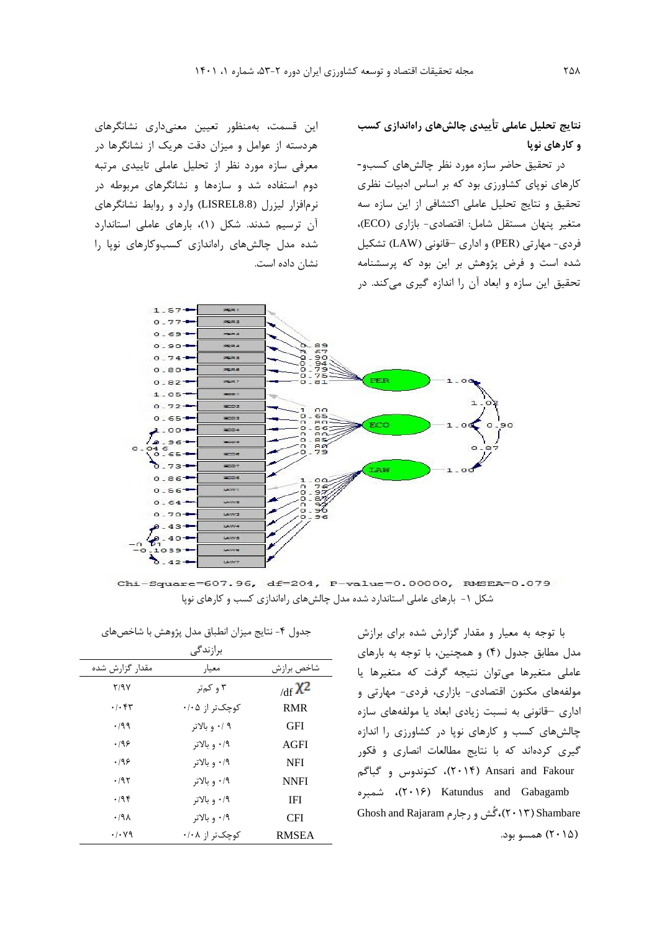**نتايج تحليل عاملی تأييدي چالشهاي راهاندازي کسب و کارهاي نوپا**

در تحقیق حاضر سازه مورد نظر چالشهاي کسبو- کارهاي نوپاي کشاورزي بود که بر اساس ادبیات نظري تحقیق و نتايج تحلیل عاملی اکتشافی از اين سازه سه متغیر پنهان مستقل شامل: اقتصادي- بازاري )ECO)، فردي- مهارتی )PER )و اداري –قانونی )LAW )تشکیل شده است و فرض پژوهش بر اين بود که پرسشنامه تحقیق اين سازه و ابعاد آن را اندازه گیري میکند. در

اين قسمت، بهمنظور تعیین معنیداري نشانگرهاي هردسته از عوامل و میزان دقت هريک از نشانگرها در معرفی سازه مورد نظر از تحلیل عاملی تايیدي مرتبه دوم استفاده شد و سازهها و نشانگرهاي مربوطه در نرمافزار لیزرل (LISREL8.8) وارد و روابط نشانگرهاي آن ترسیم شدند. شکل )1(، بارهاي عاملی استاندارد شده مدل چالشهاي راهاندازي کسبوکارهاي نوپا را نشان داده است.



Chi-Square=607.96, df=204, P-value=0.00000, RMSEA=0.079 شکل -1 بارهاي عاملی استاندارد شده مدل چالشهاي راهاندازي کسب و کارهاي نوپا

با توجه به معیار و مقدار گزارش شده براي برازش مدل مطابق جدول (۴) و همچنین، با توجه به بارهای عاملی متغیرها میتوان نتیجه گرفت که متغیرها يا مولفههاي مکنون اقتصادي- بازاري، فردي- مهارتی و اداري –قانونی به نسبت زيادي ابعاد يا مولفههاي سازه چالشهاي کسب و کارهاي نوپا در کشاورزي را اندازه گیري کردهاند که با نتايج مطالعات انصاري و فکور Fakour and Ansari**(** 2014**)**، کتوندوس و گباگم شمبره **،(**2016 **)**Katundus and Gabagamb Shambare**(** 2013**)،**گُش و رجارم Rajaram and Ghosh **)**2015**(** همسو بود.

|  | جدول ۴- نتایج میزان انطباق مدل پژوهش با شاخصهای |  |  |  |  |  |  |  |  |
|--|-------------------------------------------------|--|--|--|--|--|--|--|--|
|--|-------------------------------------------------|--|--|--|--|--|--|--|--|

|                            | برازندگی       |              |
|----------------------------|----------------|--------------|
| مقدار گزارش شده            | معيار          | شاخص برازش   |
| 7/9Y                       | ۳ و کمتر       | /df $X^2$    |
| $\cdot$ / $\cdot$ ۴۳       | کوچکتر از ۰/۰۵ | <b>RMR</b>   |
| $\cdot$ 199                | ۰/ ۹ و بالاتر  | GFI          |
| .199                       | ۰/۹ و بالاتر   | AGFI         |
| .199                       | ۰/۹ و بالاتر   | <b>NFI</b>   |
| ۰/۹۲                       | ۰/۹ و بالاتر   | <b>NNFI</b>  |
| .798                       | ۰/۹ و بالاتر   | <b>IFI</b>   |
| ۰/۹۸                       | ۰/۹ و بالاتر   | <b>CFI</b>   |
| $\cdot$ / $\cdot$ $\vee$ 9 | کوچکټر از ۰/۰۸ | <b>RMSEA</b> |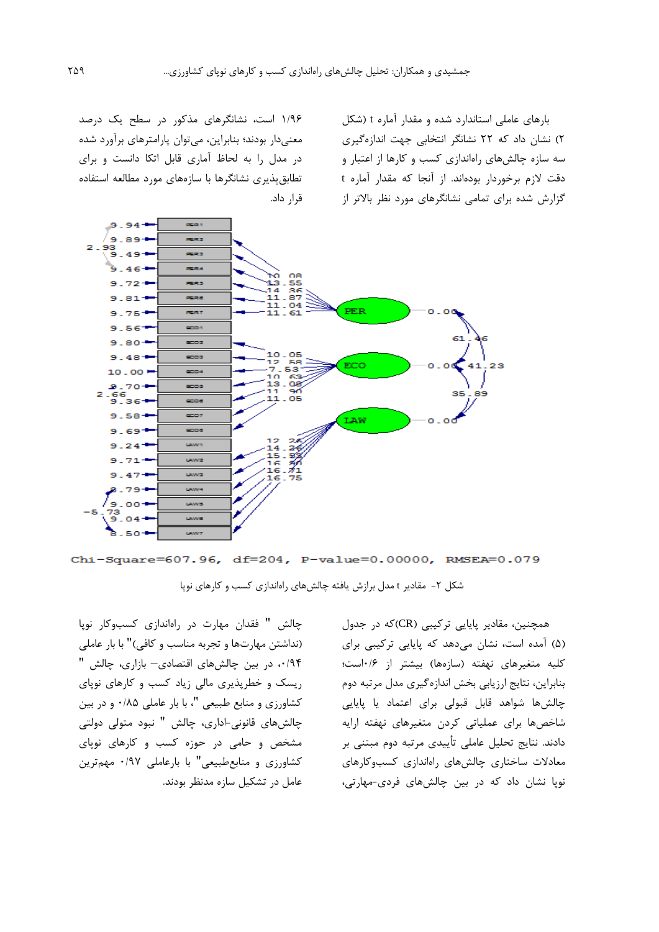بارهاي عاملی استاندارد شده و مقدار آماره t( شکل 2( نشان داد که 22 نشانگر انتخابی جهت اندازهگیري سه سازه چالشهاي راهاندازي کسب و کارها از اعتبار و دقت الزم برخوردار بودهاند. از آنجا که مقدار آماره t گزارش شده براي تمامی نشانگرهاي مورد نظر باالتر از

1/96 است، نشانگرهاي مذکور در سطح يک درصد معنیدار بودند؛ بنابراين، میتوان پارامترهاي برآورد شده در مدل را به لحاظ آماري قابل اتکا دانست و براي تطابقپذيري نشانگرها با سازههاي مورد مطالعه استفاده قرار داد.



Chi-Square=607.96, df=204, P-value=0.00000, RMSEA=0.079

شکل ۲- مقادير t مدل برازش يافته چالشهاي راهاندازي کسب و کارهاي نوپا

همچنین، مقادير پايايی ترکیبی )CR)که در جدول )5( آمده است، نشان میدهد که پايايی ترکیبی براي کلیه متغیرهای نهفته (سازهها) بیشتر از ۰/۶است؛ بنابراين، نتايج ارزيابی بخش اندازهگیري مدل مرتبه دوم چالشها شواهد قابل قبولی براي اعتماد يا پايايی شاخصها براي عملیاتی کردن متغیرهاي نهفته ارايه دادند. نتايج تحلیل عاملی تأيیدي مرتبه دوم مبتنی بر معادالت ساختاري چالشهاي راهاندازي کسبوکارهاي نوپا نشان داد که در بین چالشهاي فردي-مهارتی،

چالش " فقدان مهارت در راهاندازي کسبوکار نوپا )نداشتن مهارتها و تجربه مناسب و کافی(" با بار عاملی ،0/94 در بین چالشهاي اقتصادي– بازاري، چالش " ريسک و خطرپذيري مالی زياد کسب و کارهاي نوپاي کشاورزي و منابع طبیعی "، با بار عاملی 0/85 و در بین چالشهاي قانونی-اداري، چالش " نبود متولی دولتی مشخص و حامی در حوزه کسب و کارهاي نوپاي کشاورزي و منابعطبیعی" با بارعاملی 0/97 مهمترين عامل در تشکیل سازه مدنظر بودند.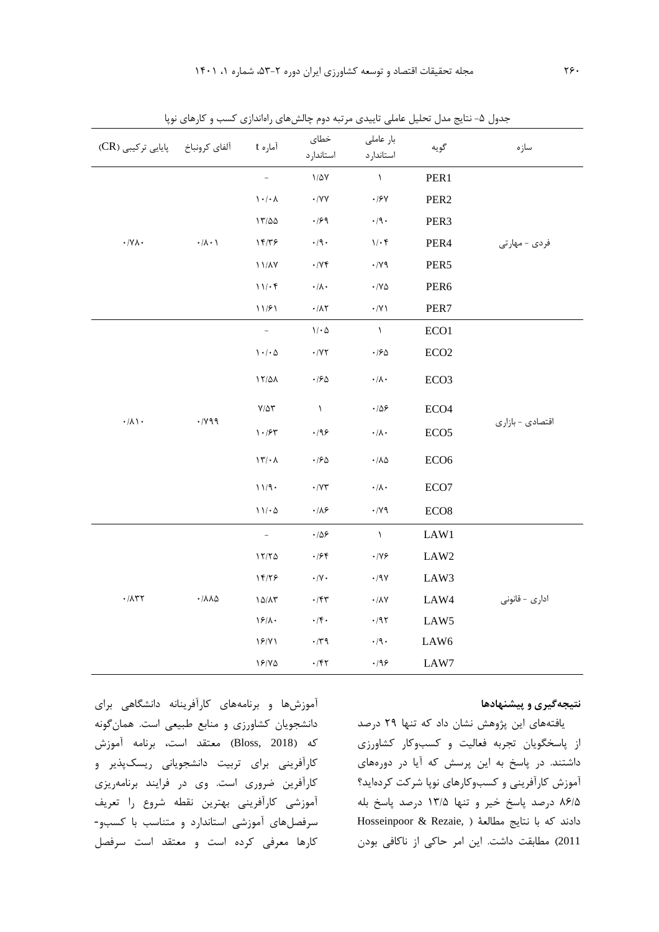| پایایی ترکیبی (CR)            | آلفاي كرونباخ                | آماره t                                       | خطاى<br>استاندارد                                                      | بار عاملی<br>استاندارد                                            | گويه             | سازه             |
|-------------------------------|------------------------------|-----------------------------------------------|------------------------------------------------------------------------|-------------------------------------------------------------------|------------------|------------------|
|                               |                              |                                               | $1/\Delta V$                                                           | $\Lambda$                                                         | PER1             |                  |
|                               | $\cdot/\lambda\cdot$ \       | $\mathcal{N}\cdot\mathcal{N}\cdot\mathcal{N}$ | $\boldsymbol{\cdot}$ /YY                                               | $\boldsymbol{\cdot}$ /۶۷                                          | PER <sub>2</sub> |                  |
|                               |                              | 17/20                                         | $\cdot$ /۶۹                                                            | $\cdot$ /9 $\cdot$                                                | PER3             |                  |
| $\cdot$ /YA $\cdot$           |                              | 14/٣۶                                         | $\cdot$ /9 $\cdot$                                                     | $1/\cdot f$                                                       | PER4             | فردي - مهارتي    |
|                               |                              | $11/\lambda Y$                                | $\cdot$ /Y۴                                                            | $\cdot$ /v $\uparrow$                                             | PER5             |                  |
|                               |                              | 11/65                                         | $\boldsymbol{\cdot} / \boldsymbol{\wedge} \boldsymbol{\cdot}$          | $\cdot$ /V $\hbox{\o}$                                            | PER <sub>6</sub> |                  |
|                               |                              | 11/51                                         | $\cdot/\lambda\mathbf{Y}$                                              | $\boldsymbol{\cdot}$ /V $\boldsymbol{\backslash}$                 | PER7             |                  |
|                               |                              | $\overline{\phantom{a}}$                      | $\mathcal{N} \cdot \mathcal{Q}$                                        | $\Lambda$                                                         | ECO1             |                  |
|                               | $\cdot$ / $\gamma$ qq        | $1 - 1 - 0$                                   | $\cdot$ /Y٢                                                            | $\cdot$ /۶ $\uparrow$                                             | ECO <sub>2</sub> |                  |
|                               |                              | $17/\Delta\lambda$                            | $\cdot$ /۶۵                                                            | $\boldsymbol{\cdot}$ /A $\boldsymbol{\cdot}$                      | ECO <sub>3</sub> |                  |
| $\cdot/\lambda$ \ $\cdot$     |                              | $Y/\Delta Y$                                  | $\Lambda$                                                              | $\cdot$ /08                                                       | ECO <sub>4</sub> | اقتصادي - بازاري |
|                               |                              | 1.154                                         | .199                                                                   | $\boldsymbol{\cdot} \,/\boldsymbol{\wedge} \, \boldsymbol{\cdot}$ | ECO <sub>5</sub> |                  |
|                               |                              | 17/4                                          | $\cdot$ /۶۵                                                            | $\cdot$ /<br>$\Lambda\Delta$                                      | ECO <sub>6</sub> |                  |
|                               |                              | 11/9                                          | $\boldsymbol{\cdot}$ /<br>Y<br>٣                                       | $\boldsymbol{\cdot}$ /A $\boldsymbol{\cdot}$                      | ECO7             |                  |
|                               |                              | 11/20                                         | $\cdot/\lambda$ ۶                                                      | $\cdot$ /v $\uparrow$                                             | ECO8             |                  |
|                               | $\cdot/\lambda\lambda\Delta$ | $\bar{\phantom{a}}$                           | $\cdot$ / $\Delta \mathcal{S}$                                         | $\Delta$                                                          | LAW1             |                  |
|                               |                              | 17/70                                         | $\cdot$ /۶۴                                                            | $\boldsymbol{\cdot}$ /Y $\boldsymbol{\varphi}$                    | LAW2             |                  |
|                               |                              | 18/79                                         | $\boldsymbol{\cdot}$ /V $\boldsymbol{\cdot}$                           | $\cdot$ /9 $\!\!$ $\vee$                                          | LAW3             |                  |
| $\cdot$ /<br>$\wedge\tau\tau$ |                              | $10/\Lambda$ ۳                                | $\cdot$ /۴۳                                                            | $\boldsymbol{\cdot}$ /<br>AV                                      | LAW4             | ادارى - قانونى   |
|                               |                              | 19/1.                                         | $\cdot$ /۴.                                                            | $\cdot$ /9٢                                                       | LAW5             |                  |
|                               |                              | 19/1                                          | $\cdot$ /٣٩                                                            | $\cdot$ /9 $\cdot$                                                | LAW6             |                  |
|                               |                              | 19/10                                         | $\boldsymbol{\cdot}$ / $\boldsymbol{\uparrow}$ $\boldsymbol{\uparrow}$ | $\cdot$ 198                                                       | LAW7             |                  |

جدول ۵- نتايج مدل تحليل عاملي تاييدي مرتبه دوم چالشهاي راهاندازي کسب و کارهاي نوپا

## **نتيجهگيري و پيشنهادها**

يافتههاي اين پژوهش نشان داد که تنها 29 درصد از پاسخگويان تجربه فعالیت و کسبوکار کشاورزي داشتند. در پاسخ به اين پرسش که آيا در دورههاي آموزش کارآفرينی و کسبوکارهاي نوپا شرکت کردهايد؟ 86/5 درصد پاسخ خیر و تنها 13/5 درصد پاسخ بله دادند که با نتايج مطالعهٔ ( ,Hosseinpoor & Rezaie 2011( مطابقت داشت. اين امر حاکی از ناکافی بودن

آموزشها و برنامههاي کارآفرينانه دانشگاهی براي دانشجويان کشاورزي و منابع طبیعی است. همانگونه که )2018 ,Bloss )معتقد است، برنامه آموزش کارآفرينی براي تربیت دانشجويانی ريسکپذير و کارآفرين ضروري است. وي در فرايند برنامهريزي آموزشی کارآفرينی بهترين نقطه شروع را تعريف سرفصلهاي آموزشی استاندارد و متناسب با کسبو- کارها معرفی کرده است و معتقد است سرفصل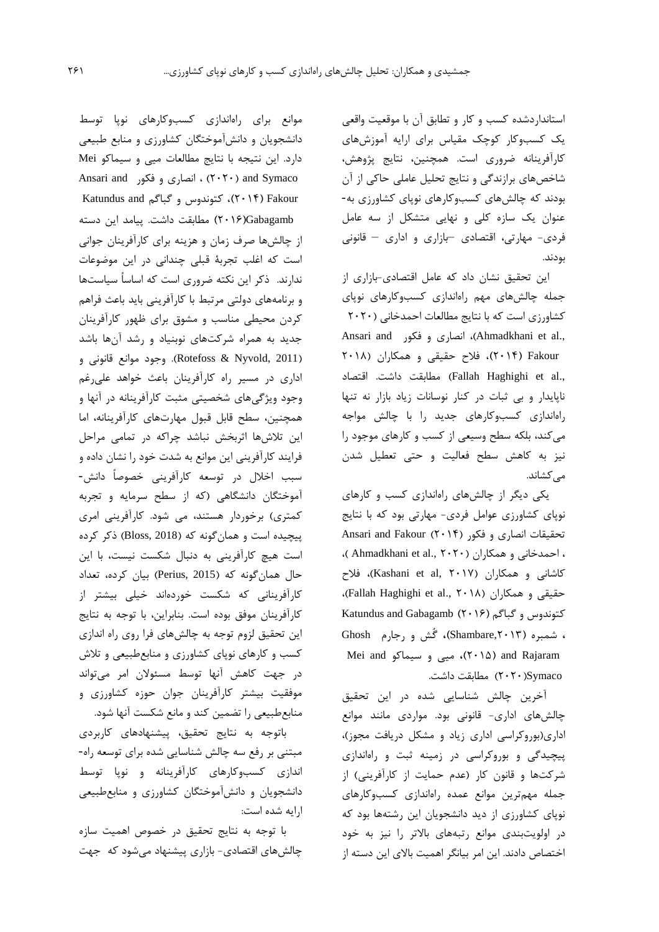استانداردشده کسب و کار و تطابق آن با موقعیت واقعی يک کسبوکار کوچک مقیاس براي ارايه آموزشهاي کارآفرينانه ضروري است. همچنین، نتايج پژوهش، شاخصهاي برازندگی و نتايج تحلیل عاملی حاکی از آن بودند که چالشهاي کسبوکارهاي نوپاي کشاورزي به- عنوان يک سازه کلی و نهايی متشکل از سه عامل فردي- مهارتی، اقتصادي –بازاري و اداري – قانونی بودند.

اين تحقیق نشان داد که عامل اقتصادي-بازاري از جمله چالشهاي مهم راهاندازي کسبوکارهاي نوپاي کشاورزي است که با نتايج مطالعات احمدخانی )2020 Ansari and فكور (Ahmadkhani et al., Fakour**(** 2014**)**، فالح حقیقی و همکاران )2018 اقتصاد .داشت مطابقت( Fallah Haghighi et al., ناپايدار و بی ثبات در کنار نوسانات زياد بازار نه تنها راهاندازي کسبوکارهاي جديد را با چالش مواجه میکند، بلکه سطح وسیعی از کسب و کارهاي موجود را نیز به کاهش سطح فعالیت و حتی تعطیل شدن میکشاند.

يکی ديگر از چالشهاي راهاندازي کسب و کارهاي نوپاي کشاورزي عوامل فردي- مهارتی بود که با نتايج تحقیقات انصاري و فکور )2014( Fakour and Ansari ، احمدخانی و همکاران ( Ahmadkhani et al., ۲۰۲۰ )، کاشانی و همکاران (Kashani et al, ۲۰۱۷)، فلاح ،)Fallah Haghighi et al., 2018( همکاران و حقیقی کتوندوس و گباگم **)**2016**(** Gabagamb and Katundus **،** شمبره **)**,2013Shambare**)،** گُش و رجارم Ghosh Mei and سیماکو و میی **،(**2015 **)**and Rajaram Symaco(2020 )مطابقت داشت.

آخرين چالش شناسايی شده در اين تحقیق چالشهاي اداري- قانونی بود. مواردي مانند موانع اداري)بوروکراسی اداري زياد و مشکل دريافت مجوز(، پیچیدگی و بوروکراسی در زمینه ثبت و راهاندازي شرکتها و قانون کار (عدم حمايت از کارآفرينی) از جمله مهمترين موانع عمده راهاندازي کسبوکارهاي نوپاي کشاورزي از ديد دانشجويان اين رشتهها بود که در اولويتبندي موانع رتبههاي باالتر را نیز به خود اختصاص دادند. اين امر بیانگر اهمیت باالي اين دسته از

موانع براي راهاندازي کسبوکارهاي نوپا توسط دانشجويان و دانشآموختگان کشاورزي و منابع طبیعی دارد. اين نتیجه با نتايج مطالعات میی و سیماکو Mei Ansari and ( 2020 )، انصاری و فکور ( Ansari and Fakour**(** 2014**)**، کتوندوس و گباگم and Katundus Gabagamb**(**2016 **)**مطابقت داشت. پیامد اين دسته از چالشها صرف زمان و هزينه براي کارآفرينان جوانی است که اغلب تجربة قبلی چندانی در اين موضوعات ندارند. ذکر اين نکته ضروري است که اساساً سیاستها و برنامههاي دولتی مرتبط با کارآفرينی بايد باعث فراهم کردن محیطی مناسب و مشوق براي ظهور کارآفرينان جديد به همراه شرکتهاي نوبنیاد و رشد آنها باشد )2011 ,Nyvold & Rotefoss). وجود موانع قانونی و اداري در مسیر راه کارآفرينان باعث خواهد علیرغم وجود ويژگیهاي شخصیتی مثبت کارآفرينانه در آنها و همچنین، سطح قابل قبول مهارتهاي کارآفرينانه، اما اين تالشها اثربخش نباشد چراکه در تمامی مراحل فرايند کارآفرينی اين موانع به شدت خود را نشان داده و سبب اخالل در توسعه کارآفرينی خصوصاً دانش- آموختگان دانشگاهی )که از سطح سرمايه و تجربه کمتري) برخوردار هستند، می شود. کارآفرينی امري پیچیده است و همانگونه که )2018 ,Bloss )ذکر کرده است هیچ کارآفرينی به دنبال شکست نیست، با اين حال همانگونه که )2015 ,Perius )بیان کرده، تعداد کارآفرينانی که شکست خوردهاند خیلی بیشتر از کارآفرينان موفق بوده است. بنابراين، با توجه به نتايج اين تحقیق لزوم توجه به چالشهاي فرا روي راه اندازي کسب و کارهاي نوپاي کشاورزي و منابعطبیعی و تالش در جهت کاهش آنها توسط مسئوالن امر میتواند موفقیت بیشتر کارآفرينان جوان حوزه کشاورزي و منابعطبیعی را تضمین کند و مانع شکست آنها شود.

باتوجه به نتايج تحقیق، پیشنهادهاي کاربردي مبتنی بر رفع سه چالش شناسايی شده براي توسعه راه- اندازي کسبوکارهاي کارآفرينانه و نوپا توسط دانشجويان و دانشآموختگان کشاورزي و منابعطبیعی ارايه شده است:

با توجه به نتايج تحقیق در خصوص اهمیت سازه چالشهاي اقتصادي- بازاري پیشنهاد میشود که جهت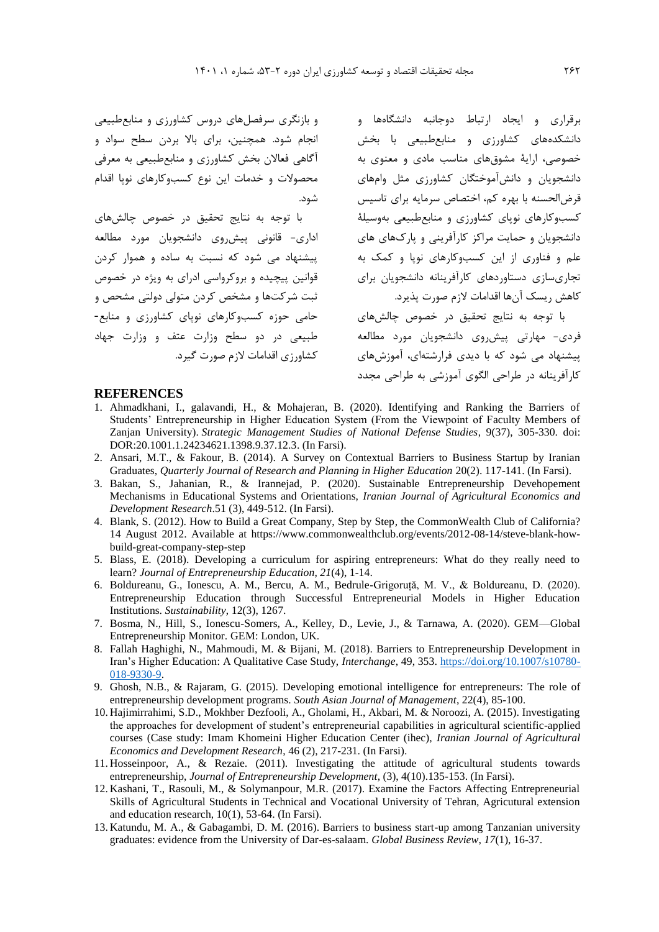و بازنگري سرفصلهاي دروس کشاورزي و منابعطبیعی انجام شود. همچنین، براي باال بردن سطح سواد و آگاهی فعاالن بخش کشاورزي و منابعطبیعی به معرفی محصوالت و خدمات اين نوع کسبوکارهاي نوپا اقدام شود.

با توجه به نتايج تحقیق در خصوص چالشهاي اداري- قانونی پیشروي دانشجويان مورد مطالعه پیشنهاد می شود که نسبت به ساده و هموار کردن قوانین پیچیده و بروکرواسی ادراي به ويژه در خصوص ثبت شرکتها و مشخص کردن متولی دولتی مشحص و حامی حوزه کسبوکارهاي نوپاي کشاورزي و منابع- طبیعی در دو سطح وزارت عتف و وزارت جهاد کشاورزي اقدامات الزم صورت گیرد.

برقراري و ايجاد ارتباط دوجانبه دانشگاهها و دانشکدههاي کشاورزي و منابعطبیعی با بخش خصوصی، اراية مشوقهاي مناسب مادي و معنوي به دانشجويان و دانشآموختگان کشاورزي مثل وامهاي قرضالحسنه با بهره کم، اختصاص سرمايه براي تاسیس کسبوکارهاي نوپاي کشاورزي و منابعطبیعی بهوسیلة دانشجويان و حمايت مراکز کارآفرينی و پارکهاي هاي علم و فناوري از اين کسبوکارهاي نوپا و کمک به تجاريسازي دستاوردهاي کارآفرينانه دانشجويان براي کاهش ريسک آنها اقدامات الزم صورت پذيرد. با توجه به نتايج تحقیق در خصوص چالشهاي

فردي- مهارتی پیشروي دانشجويان مورد مطالعه پیشنهاد می شود که با ديدي فرارشتهاي، آموزشهاي کارآفرينانه در طراحی الگوي آموزشی به طراحی مجدد

### **REFERENCES**

- 1. Ahmadkhani, I., galavandi, H., & Mohajeran, B. (2020). Identifying and Ranking the Barriers of Students' Entrepreneurship in Higher Education System (From the Viewpoint of Faculty Members of Zanjan University). *Strategic Management Studies of National Defense Studies*, 9(37), 305-330. doi: DOR:20.1001.1.24234621.1398.9.37.12.3. (In Farsi).
- 2. Ansari, M.T., & Fakour, B. (2014). A Survey on Contextual Barriers to Business Startup by Iranian Graduates, *Quarterly Journal of Research and Planning in Higher Education* 20(2). 117-141. (In Farsi).
- 3. Bakan, S., Jahanian, R., & Irannejad, P. (2020). Sustainable Entrepreneurship Devehopement Mechanisms in Educational Systems and Orientations, *Iranian Journal of Agricultural Economics and Development Research*.51 (3), 449-512. (In Farsi).
- 4. Blank, S. (2012). How to Build a Great Company, Step by Step*,* the CommonWealth Club of California? 14 August 2012. Available at https://www.commonwealthclub.org/events/2012-08-14/steve-blank-howbuild-great-company-step-step
- 5. Blass, E. (2018). Developing a curriculum for aspiring entrepreneurs: What do they really need to learn? *Journal of Entrepreneurship Education*, *21*(4), 1-14.
- 6. Boldureanu, G., Ionescu, A. M., Bercu, A. M., Bedrule-Grigoruță, M. V., & Boldureanu, D. (2020). Entrepreneurship Education through Successful Entrepreneurial Models in Higher Education Institutions. *Sustainability*, 12(3), 1267.
- 7. Bosma, N., Hill, S., Ionescu-Somers, A., Kelley, D., Levie, J., & Tarnawa, A. (2020). GEM—Global Entrepreneurship Monitor. GEM: London, UK.
- 8. Fallah Haghighi, N., Mahmoudi, M. & Bijani, M. (2018). Barriers to Entrepreneurship Development in Iran's Higher Education: A Qualitative Case Study, *Interchange*, 49, 353. https://doi.org/10.1007/s10780- 018-9330-9.
- 9. Ghosh, N.B., & Rajaram, G. (2015). Developing emotional intelligence for entrepreneurs: The role of entrepreneurship development programs. *South Asian Journal of Management*, 22(4), 85-100.
- 10. Hajimirrahimi, S.D., Mokhber Dezfooli, A., Gholami, H., Akbari, M. & Noroozi, A. (2015). Investigating the approaches for development of student's entrepreneurial capabilities in agricultural scientific-applied courses (Case study: Imam Khomeini Higher Education Center (ihec), *Iranian Journal of Agricultural Economics and Development Research*, 46 (2), 217-231. (In Farsi).
- 11. Hosseinpoor, A., & Rezaie. (2011). Investigating the attitude of agricultural students towards entrepreneurship, *Journal of Entrepreneurship Development*, (3), 4(10).135-153. (In Farsi).
- 12. Kashani, T., Rasouli, M., & Solymanpour, M.R. (2017). Examine the Factors Affecting Entrepreneurial Skills of Agricultural Students in Technical and Vocational University of Tehran, Agricutural extension and education research, 10(1), 53-64. (In Farsi).
- 13. Katundu, M. A., & Gabagambi, D. M. (2016). Barriers to business start-up among Tanzanian university graduates: evidence from the University of Dar-es-salaam. *Global Business Review*, *17*(1), 16-37.